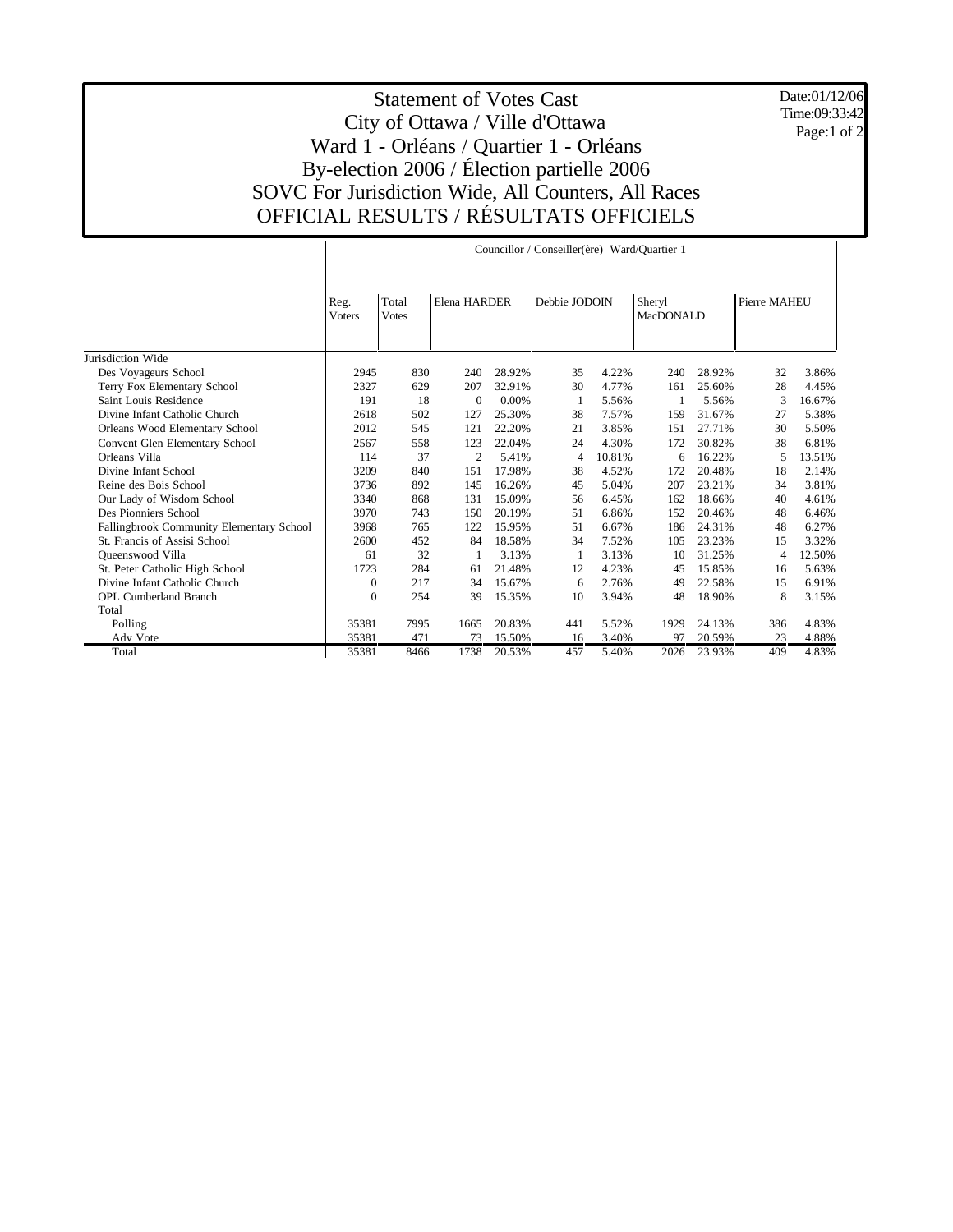Date:01/12/06 Time:09:33:42 Page:1 of 2

## Statement of Votes Cast City of Ottawa / Ville d'Ottawa Ward 1 - Orléans / Quartier 1 - Orléans By-election 2006 / Élection partielle 2006 SOVC For Jurisdiction Wide, All Counters, All Races OFFICIAL RESULTS / RÉSULTATS OFFICIELS

|                                          | Councillor / Conseiller(ère) Ward/Quartier 1 |                       |                |        |               |        |                     |        |              |        |
|------------------------------------------|----------------------------------------------|-----------------------|----------------|--------|---------------|--------|---------------------|--------|--------------|--------|
|                                          | Reg.<br><b>Voters</b>                        | Total<br><b>Votes</b> | Elena HARDER   |        | Debbie JODOIN |        | Sheryl<br>MacDONALD |        | Pierre MAHEU |        |
| Jurisdiction Wide                        |                                              |                       |                |        |               |        |                     |        |              |        |
| Des Voyageurs School                     | 2945                                         | 830                   | 240            | 28.92% | 35            | 4.22%  | 240                 | 28.92% | 32           | 3.86%  |
| Terry Fox Elementary School              | 2327                                         | 629                   | 207            | 32.91% | 30            | 4.77%  | 161                 | 25.60% | 28           | 4.45%  |
| Saint Louis Residence                    | 191                                          | 18                    | $\theta$       | 0.00%  | 1             | 5.56%  |                     | 5.56%  | 3            | 16.67% |
| Divine Infant Catholic Church            | 2618                                         | 502                   | 127            | 25.30% | 38            | 7.57%  | 159                 | 31.67% | 27           | 5.38%  |
| Orleans Wood Elementary School           | 2012                                         | 545                   | 121            | 22.20% | 21            | 3.85%  | 151                 | 27.71% | 30           | 5.50%  |
| Convent Glen Elementary School           | 2567                                         | 558                   | 123            | 22.04% | 24            | 4.30%  | 172                 | 30.82% | 38           | 6.81%  |
| Orleans Villa                            | 114                                          | 37                    | $\overline{c}$ | 5.41%  | 4             | 10.81% | 6                   | 16.22% | 5            | 13.51% |
| Divine Infant School                     | 3209                                         | 840                   | 151            | 17.98% | 38            | 4.52%  | 172                 | 20.48% | 18           | 2.14%  |
| Reine des Bois School                    | 3736                                         | 892                   | 145            | 16.26% | 45            | 5.04%  | 207                 | 23.21% | 34           | 3.81%  |
| Our Lady of Wisdom School                | 3340                                         | 868                   | 131            | 15.09% | 56            | 6.45%  | 162                 | 18.66% | 40           | 4.61%  |
| Des Pionniers School                     | 3970                                         | 743                   | 150            | 20.19% | 51            | 6.86%  | 152                 | 20.46% | 48           | 6.46%  |
| Fallingbrook Community Elementary School | 3968                                         | 765                   | 122            | 15.95% | 51            | 6.67%  | 186                 | 24.31% | 48           | 6.27%  |
| St. Francis of Assisi School             | 2600                                         | 452                   | 84             | 18.58% | 34            | 7.52%  | 105                 | 23.23% | 15           | 3.32%  |
| Queenswood Villa                         | 61                                           | 32                    |                | 3.13%  | 1             | 3.13%  | 10                  | 31.25% | 4            | 12.50% |
| St. Peter Catholic High School           | 1723                                         | 284                   | 61             | 21.48% | 12            | 4.23%  | 45                  | 15.85% | 16           | 5.63%  |
| Divine Infant Catholic Church            | $\mathbf{0}$                                 | 217                   | 34             | 15.67% | 6             | 2.76%  | 49                  | 22.58% | 15           | 6.91%  |
| <b>OPL Cumberland Branch</b>             | $\boldsymbol{0}$                             | 254                   | 39             | 15.35% | 10            | 3.94%  | 48                  | 18.90% | 8            | 3.15%  |
| Total                                    |                                              |                       |                |        |               |        |                     |        |              |        |
| Polling                                  | 35381                                        | 7995                  | 1665           | 20.83% | 441           | 5.52%  | 1929                | 24.13% | 386          | 4.83%  |
| Adv Vote                                 | 35381                                        | 471                   | 73             | 15.50% | 16            | 3.40%  | 97                  | 20.59% | 23           | 4.88%  |
| Total                                    | 35381                                        | 8466                  | 1738           | 20.53% | 457           | 5.40%  | 2026                | 23.93% | 409          | 4.83%  |